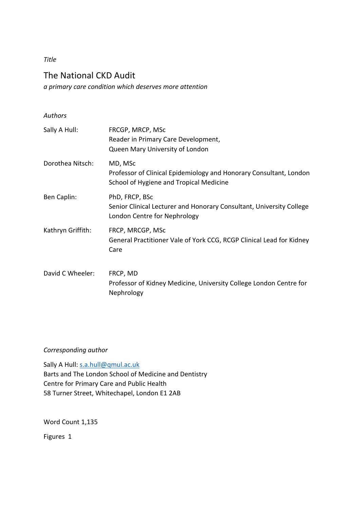*Title*

# The National CKD Audit *a primary care condition which deserves more attention*

| <b>Authors</b>    |                                                                                                                          |
|-------------------|--------------------------------------------------------------------------------------------------------------------------|
| Sally A Hull:     | FRCGP, MRCP, MSc<br>Reader in Primary Care Development,<br>Queen Mary University of London                               |
| Dorothea Nitsch:  | MD, MSc<br>Professor of Clinical Epidemiology and Honorary Consultant, London<br>School of Hygiene and Tropical Medicine |
| Ben Caplin:       | PhD, FRCP, BSc<br>Senior Clinical Lecturer and Honorary Consultant, University College<br>London Centre for Nephrology   |
| Kathryn Griffith: | FRCP, MRCGP, MSc<br>General Practitioner Vale of York CCG, RCGP Clinical Lead for Kidney<br>Care                         |
| David C Wheeler:  | FRCP, MD<br>Professor of Kidney Medicine, University College London Centre for<br>Nephrology                             |

# *Corresponding author*

Sally A Hull: [s.a.hull@qmul.ac.uk](mailto:s.a.hull@qmul.ac.uk) Barts and The London School of Medicine and Dentistry Centre for Primary Care and Public Health 58 Turner Street, Whitechapel, London E1 2AB

Word Count 1,135

Figures 1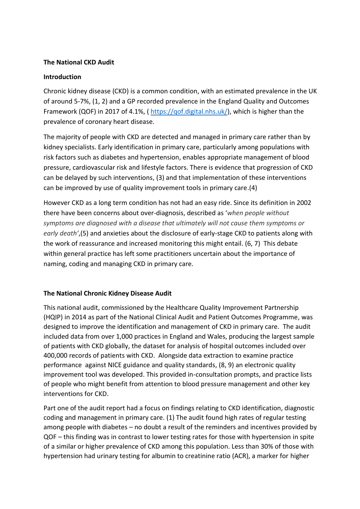#### **The National CKD Audit**

#### **Introduction**

Chronic kidney disease (CKD) is a common condition, with an estimated prevalence in the UK of around 5-7%, (1, 2) and a GP recorded prevalence in the England Quality and Outcomes Framework (QOF) in 2017 of 4.1%, ( [https://qof.digital.nhs.uk/\)](https://qof.digital.nhs.uk/), which is higher than the prevalence of coronary heart disease.

The majority of people with CKD are detected and managed in primary care rather than by kidney specialists. Early identification in primary care, particularly among populations with risk factors such as diabetes and hypertension, enables appropriate management of blood pressure, cardiovascular risk and lifestyle factors. There is evidence that progression of CKD can be delayed by such interventions, (3) and that implementation of these interventions can be improved by use of quality improvement tools in primary care.(4)

However CKD as a long term condition has not had an easy ride. Since its definition in 2002 there have been concerns about over-diagnosis, described as '*when people without symptoms are diagnosed with a disease that ultimately will not cause them symptoms or early death'*,(5) and anxieties about the disclosure of early-stage CKD to patients along with the work of reassurance and increased monitoring this might entail. (6, 7) This debate within general practice has left some practitioners uncertain about the importance of naming, coding and managing CKD in primary care.

### **The National Chronic Kidney Disease Audit**

This national audit, commissioned by the Healthcare Quality Improvement Partnership (HQIP) in 2014 as part of the National Clinical Audit and Patient Outcomes Programme, was designed to improve the identification and management of CKD in primary care. The audit included data from over 1,000 practices in England and Wales, producing the largest sample of patients with CKD globally, the dataset for analysis of hospital outcomes included over 400,000 records of patients with CKD. Alongside data extraction to examine practice performance against NICE guidance and quality standards, (8, 9) an electronic quality improvement tool was developed. This provided in-consultation prompts, and practice lists of people who might benefit from attention to blood pressure management and other key interventions for CKD.

Part one of the audit report had a focus on findings relating to CKD identification, diagnostic coding and management in primary care. (1) The audit found high rates of regular testing among people with diabetes – no doubt a result of the reminders and incentives provided by QOF – this finding was in contrast to lower testing rates for those with hypertension in spite of a similar or higher prevalence of CKD among this population. Less than 30% of those with hypertension had urinary testing for albumin to creatinine ratio (ACR), a marker for higher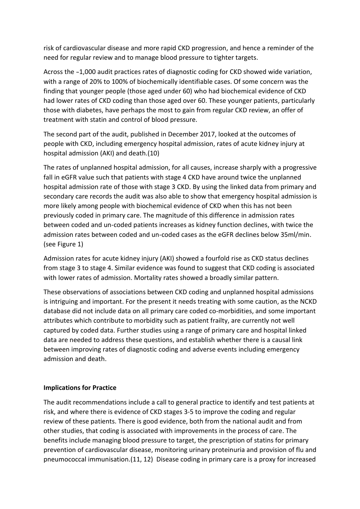risk of cardiovascular disease and more rapid CKD progression, and hence a reminder of the need for regular review and to manage blood pressure to tighter targets.

Across the ~1,000 audit practices rates of diagnostic coding for CKD showed wide variation, with a range of 20% to 100% of biochemically identifiable cases. Of some concern was the finding that younger people (those aged under 60) who had biochemical evidence of CKD had lower rates of CKD coding than those aged over 60. These younger patients, particularly those with diabetes, have perhaps the most to gain from regular CKD review, an offer of treatment with statin and control of blood pressure.

The second part of the audit, published in December 2017, looked at the outcomes of people with CKD, including emergency hospital admission, rates of acute kidney injury at hospital admission (AKI) and death.(10)

The rates of unplanned hospital admission, for all causes, increase sharply with a progressive fall in eGFR value such that patients with stage 4 CKD have around twice the unplanned hospital admission rate of those with stage 3 CKD. By using the linked data from primary and secondary care records the audit was also able to show that emergency hospital admission is more likely among people with biochemical evidence of CKD when this has not been previously coded in primary care. The magnitude of this difference in admission rates between coded and un-coded patients increases as kidney function declines, with twice the admission rates between coded and un-coded cases as the eGFR declines below 35ml/min. (see Figure 1)

Admission rates for acute kidney injury (AKI) showed a fourfold rise as CKD status declines from stage 3 to stage 4. Similar evidence was found to suggest that CKD coding is associated with lower rates of admission. Mortality rates showed a broadly similar pattern.

These observations of associations between CKD coding and unplanned hospital admissions is intriguing and important. For the present it needs treating with some caution, as the NCKD database did not include data on all primary care coded co-morbidities, and some important attributes which contribute to morbidity such as patient frailty, are currently not well captured by coded data. Further studies using a range of primary care and hospital linked data are needed to address these questions, and establish whether there is a causal link between improving rates of diagnostic coding and adverse events including emergency admission and death.

### **Implications for Practice**

The audit recommendations include a call to general practice to identify and test patients at risk, and where there is evidence of CKD stages 3-5 to improve the coding and regular review of these patients. There is good evidence, both from the national audit and from other studies, that coding is associated with improvements in the process of care. The benefits include managing blood pressure to target, the prescription of statins for primary prevention of cardiovascular disease, monitoring urinary proteinuria and provision of flu and pneumococcal immunisation.(11, 12) Disease coding in primary care is a proxy for increased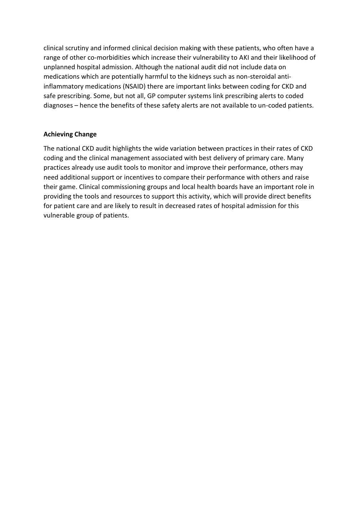clinical scrutiny and informed clinical decision making with these patients, who often have a range of other co-morbidities which increase their vulnerability to AKI and their likelihood of unplanned hospital admission. Although the national audit did not include data on medications which are potentially harmful to the kidneys such as non-steroidal antiinflammatory medications (NSAID) there are important links between coding for CKD and safe prescribing. Some, but not all, GP computer systems link prescribing alerts to coded diagnoses – hence the benefits of these safety alerts are not available to un-coded patients.

# **Achieving Change**

The national CKD audit highlights the wide variation between practices in their rates of CKD coding and the clinical management associated with best delivery of primary care. Many practices already use audit tools to monitor and improve their performance, others may need additional support or incentives to compare their performance with others and raise their game. Clinical commissioning groups and local health boards have an important role in providing the tools and resources to support this activity, which will provide direct benefits for patient care and are likely to result in decreased rates of hospital admission for this vulnerable group of patients.